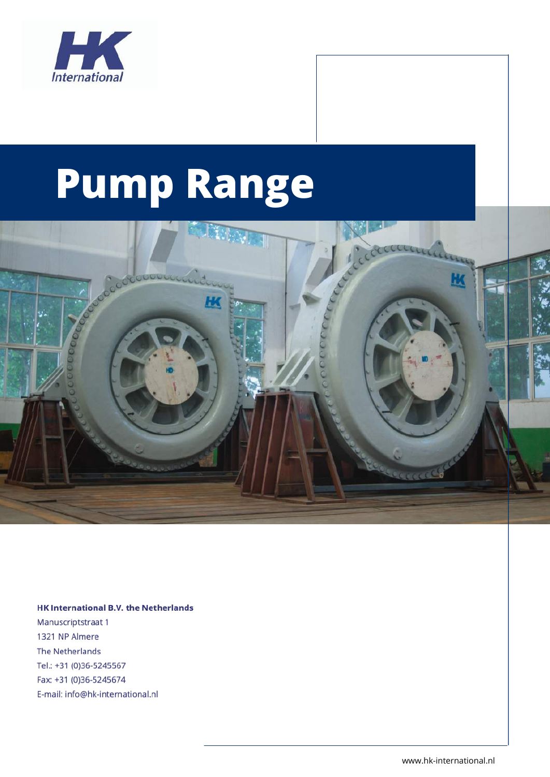

# **Pump Range**



HK International B.V. the Netherlands

Manuscriptstraat 1 1321 NP Almere The Netherlands Tel.: +31 (0)36-5245567 Fax: +31 (0)36-5245674 E-mail: info@hk-international.nl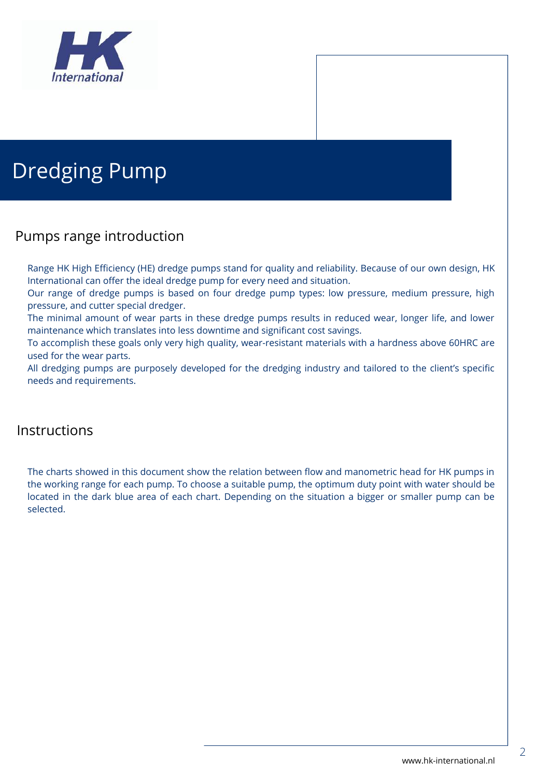

### Dredging Pump

#### Pumps range introduction

Range HK High Efficiency (HE) dredge pumps stand for quality and reliability. Because of our own design, HK International can offer the ideal dredge pump for every need and situation.

Our range of dredge pumps is based on four dredge pump types: low pressure, medium pressure, high pressure, and cutter special dredger.

The minimal amount of wear parts in these dredge pumps results in reduced wear, longer life, and lower maintenance which translates into less downtime and significant cost savings.

To accomplish these goals only very high quality, wear-resistant materials with a hardness above 60HRC are used for the wear parts.

All dredging pumps are purposely developed for the dredging industry and tailored to the client's specific needs and requirements.

#### **Instructions**

The charts showed in this document show the relation between flow and manometric head for HK pumps in the working range for each pump. To choose a suitable pump, the optimum duty point with water should be located in the dark blue area of each chart. Depending on the situation a bigger or smaller pump can be selected.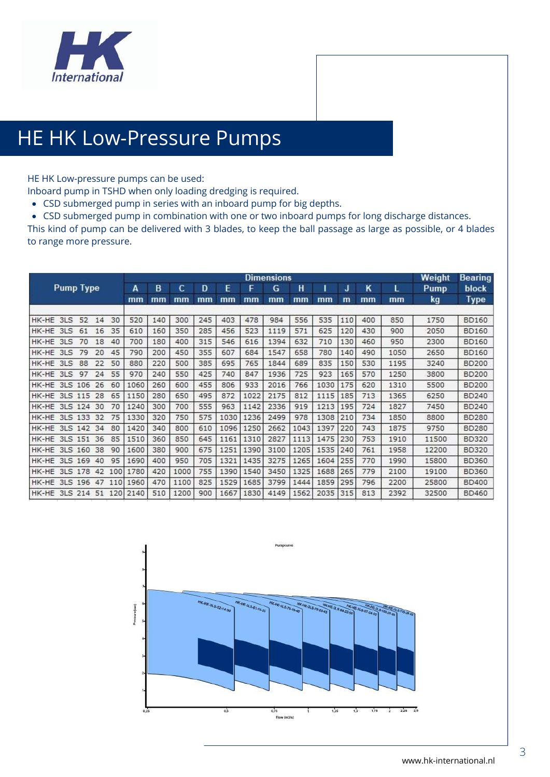

#### HE HK Low-Pressure Pumps

HE HK Low-pressure pumps can be used:

- Inboard pump in TSHD when only loading dredging is required.
- CSD submerged pump in series with an inboard pump for big depths.
- CSD submerged pump in combination with one or two inboard pumps for long discharge distances.

This kind of pump can be delivered with 3 blades, to keep the ball passage as large as possible, or 4 blades to range more pressure.

|                  |                 |     |    |     |      |     |      | Weight | <b>Bearing</b> |      |      |      |      |     |     |      |       |              |
|------------------|-----------------|-----|----|-----|------|-----|------|--------|----------------|------|------|------|------|-----|-----|------|-------|--------------|
| <b>Pump Type</b> |                 |     |    |     | A    | в   | c    | D      | E              | F    | G    | н    |      | J   | κ   | L    | Pump  | block        |
|                  |                 |     |    |     | mm   | mm  | mm   | mm     | mm             | mm   | mm   | mm   | mm   | m   | mm  | mm   | kg    | <b>Type</b>  |
|                  |                 |     |    |     |      |     |      |        |                |      |      |      |      |     |     |      |       |              |
| HK-HE            | 3LS             | 52  | 14 | 30  | 520  | 140 | 300  | 245    | 403            | 478  | 984  | 556  | 535  | 110 | 400 | 850  | 1750  | <b>BD160</b> |
| HK-HE            | 3 <sub>LS</sub> | 61  | 16 | 35  | 610  | 160 | 350  | 285    | 456            | 523  | 1119 | 571  | 625  | 120 | 430 | 900  | 2050  | BD160        |
| HK-HE            | 3LS             | 70  | 18 | 40  | 700  | 180 | 400  | 315    | 546            | 616  | 1394 | 632  | 710  | 130 | 460 | 950  | 2300  | BD160        |
| HK-HE            | 3 <sub>LS</sub> | 79  | 20 | 45  | 790  | 200 | 450  | 355    | 607            | 684  | 1547 | 658  | 780  | 140 | 490 | 1050 | 2650  | <b>BD160</b> |
| HK-HE            | 3 <sub>LS</sub> | 88  | 22 | 50  | 880  | 220 | 500  | 385    | 695            | 765  | 1844 | 689  | 835  | 150 | 530 | 1195 | 3240  | <b>BD200</b> |
| HK-HE            | 3LS             | 97  | 24 | 55  | 970  | 240 | 550  | 425    | 740            | 847  | 1936 | 725  | 923  | 165 | 570 | 1250 | 3800  | BD200        |
| HK-HE            | 3LS             | 106 | 26 | 60  | 1060 | 260 | 600  | 455    | 806            | 933  | 2016 | 766  | 1030 | 175 | 620 | 1310 | 5500  | <b>BD200</b> |
| HK-HF            | 3LS 115         |     | 28 | 65  | 1150 | 280 | 650  | 495    | 872            | 1022 | 2175 | 812  | 1115 | 185 | 713 | 1365 | 6250  | BD240        |
| HK-HE            | 3LS 124         |     | 30 | 70  | 1240 | 300 | 700  | 555    | 963            | 1142 | 2336 | 919  | 1213 | 195 | 724 | 1827 | 7450  | BD240        |
| HK-HE            | 3LS 133         |     | 32 | 75  | 1330 | 320 | 750  | 575    | 1030           | 1236 | 2499 | 978  | 1308 | 210 | 734 | 1850 | 8800  | BD280        |
| HK-HE            | 3LS             | 142 | 34 | 80  | 1420 | 340 | 800  | 610    | 1096           | 1250 | 2662 | 1043 | 1397 | 220 | 743 | 1875 | 9750  | BD280        |
| HK-HE            | 3LS 151         |     | 36 | 85  | 1510 | 360 | 850  | 645    | 1161           | 1310 | 2827 | 1113 | 1475 | 230 | 753 | 1910 | 11500 | <b>BD320</b> |
| HK-HE            | 3LS 160         |     | 38 | 90  | 1600 | 380 | 900  | 675    | 1251           | 1390 | 3100 | 1205 | 1535 | 240 | 761 | 1958 | 12200 | BD320        |
| HK-HE            | 3LS 169         |     | 40 | 95  | 1690 | 400 | 950  | 705    | 1321           | 1435 | 3275 | 1265 | 1604 | 255 | 770 | 1990 | 15800 | BD360        |
| HK-HE            | 3LS 178         |     | 42 | 100 | 1780 | 420 | 1000 | 755    | 1390           | 1540 | 3450 | 1325 | 1688 | 265 | 779 | 2100 | 19100 | <b>BD360</b> |
| HK-HE            | 3LS 196         |     | 47 | 110 | 1960 | 470 | 1100 | 825    | 1529           | 1685 | 3799 | 1444 | 1859 | 295 | 796 | 2200 | 25800 | BD400        |
| HK-HE            | 31S             | 214 | 51 | 120 | 2140 | 510 | 1200 | 900    | 1667           | 1830 | 4149 | 1562 | 2035 | 315 | 813 | 2392 | 32500 | <b>BD460</b> |

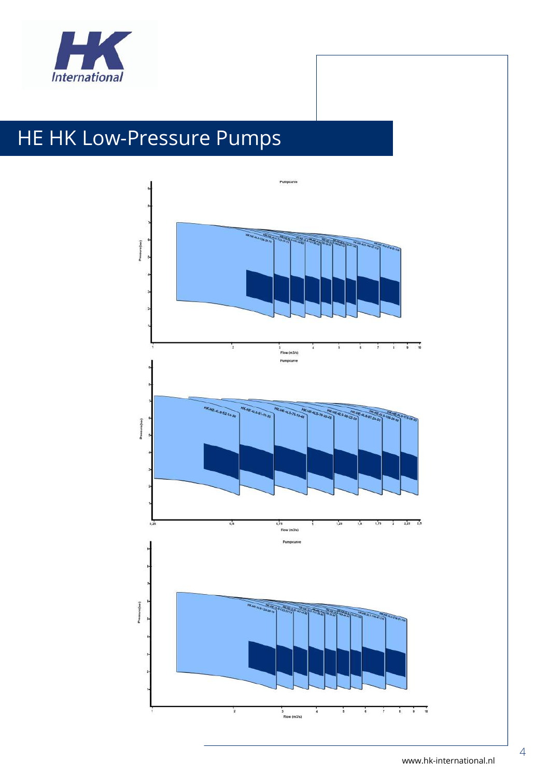

# HE HK Low-Pressure Pumps

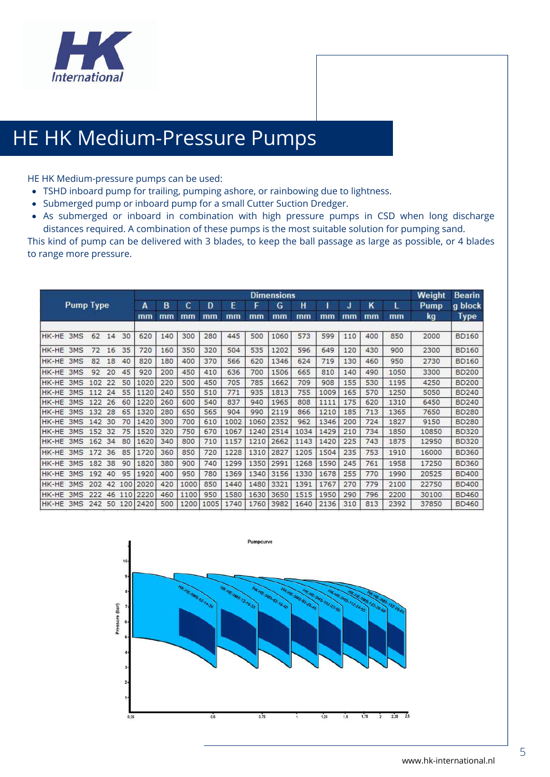

#### HE HK Medium-Pressure Pumps

HE HK Medium-pressure pumps can be used:

- TSHD inboard pump for trailing, pumping ashore, or rainbowing due to lightness.
- Submerged pump or inboard pump for a small Cutter Suction Dredger.
- As submerged or inboard in combination with high pressure pumps in CSD when long discharge distances required. A combination of these pumps is the most suitable solution for pumping sand.

This kind of pump can be delivered with 3 blades, to keep the ball passage as large as possible, or 4 blades to range more pressure.

|           |     |     |    |     |      |     |      |      |      |      | <b>Dimensions</b> |      |      |     |      |         | Weight | <b>Bearin</b> |
|-----------|-----|-----|----|-----|------|-----|------|------|------|------|-------------------|------|------|-----|------|---------|--------|---------------|
| Pump Type |     |     | A  | B   | c    | D   | E    | F    | G    | н    |                   | U    | κ    | L   | Pump | g block |        |               |
|           |     |     |    |     | mm   | mm  | mm   | mm   | mm   | mm   | mm                | mm   | mm   | mm  | mm   | mm      | kg     | <b>Type</b>   |
| HK-HE     | 3MS | 62  | 14 | 30  | 620  | 140 | 300  | 280  | 445  | 500  | 1060              | 573  | 599  | 110 | 400  | 850     | 2000   | BD160         |
| HK-HE     | 3MS | 72  | 16 | 35  | 720  | 160 | 350  | 320  | 504  | 535  | 1202              | 596  | 649  | 120 | 430  | 900     | 2300   | BD160         |
| HK-HE     | 3MS | 82  | 18 | 40  | 820  | 180 | 400  | 370  | 566  | 620  | 1346              | 624  | 719  | 130 | 460  | 950     | 2730   | <b>BD160</b>  |
| HK-HE     | 3MS | 92  | 20 | 45  | 920  | 200 | 450  | 410  | 636  | 700  | 1506              | 665  | 810  | 140 | 490  | 1050    | 3300   | <b>BD200</b>  |
| HK-HE     | 3MS | 102 | 22 | 50  | 1020 | 220 | 500  | 450  | 705  | 785  | 1662              | 709  | 908  | 155 | 530  | 1195    | 4250   | <b>BD200</b>  |
| HK-HE     | 3MS | 112 | 24 | 55  | 1120 | 240 | 550  | 510  | 771  | 935  | 1813              | 755  | 1009 | 165 | 570  | 1250    | 5050   | BD240         |
| HK-HE     | 3MS | 122 | 26 | 60  | 1220 | 260 | 600  | 540  | 837  | 940  | 1965              | 808  | 1111 | 175 | 620  | 1310    | 6450   | <b>BD240</b>  |
| HK-HE     | 3MS | 132 | 28 | 65  | 1320 | 280 | 650  | 565  | 904  | 990  | 2119              | 866  | 1210 | 185 | 713  | 1365    | 7650   | <b>BD280</b>  |
| HK-HE     | 3MS | 142 | 30 | 70  | 1420 | 300 | 700  | 610  | 1002 | 1060 | 2352              | 962  | 1346 | 200 | 724  | 1827    | 9150   | <b>BD280</b>  |
| HK-HE     | 3MS | 152 | 32 | 75  | 1520 | 320 | 750  | 670  | 1067 | 1240 | 2514              | 1034 | 1429 | 210 | 734  | 1850    | 10850  | BD320         |
| HK-HE     | 3MS | 162 | 34 | 80  | 1620 | 340 | 800  | 710  | 1157 | 1210 | 2662              | 1143 | 1420 | 225 | 743  | 1875    | 12950  | <b>BD320</b>  |
| HK-HE     | 3MS | 172 | 36 | 85  | 1720 | 360 | 850  | 720  | 1228 | 1310 | 2827              | 1205 | 1504 | 235 | 753  | 1910    | 16000  | BD360         |
| HK-HE     | 3MS | 182 | 38 | 90  | 1820 | 380 | 900  | 740  | 1299 | 1350 | 2991              | 1268 | 1590 | 245 | 761  | 1958    | 17250  | BD360         |
| HK-HE     | 3MS | 192 | 40 | 95  | 1920 | 400 | 950  | 780  | 1369 | 1340 | 3156              | 1330 | 1678 | 255 | 770  | 1990    | 20525  | BD400         |
| HK-HF     | 3MS | 202 | 42 | 100 | 2020 | 420 | 1000 | 850  | 1440 | 1480 | 3321              | 1391 | 1767 | 270 | 779  | 2100    | 22750  | <b>BD400</b>  |
| HK-HE     | 3MS | 222 | 46 | 110 | 2220 | 460 | 1100 | 950  | 1580 | 1630 | 3650              | 1515 | 1950 | 290 | 796  | 2200    | 30100  | <b>BD460</b>  |
| HK-HE     | 3MS | 242 | 50 | 120 | 2420 | 500 | 1200 | 1005 | 1740 | 1760 | 3982              | 1640 | 2136 | 310 | 813  | 2392    | 37850  | BD460         |

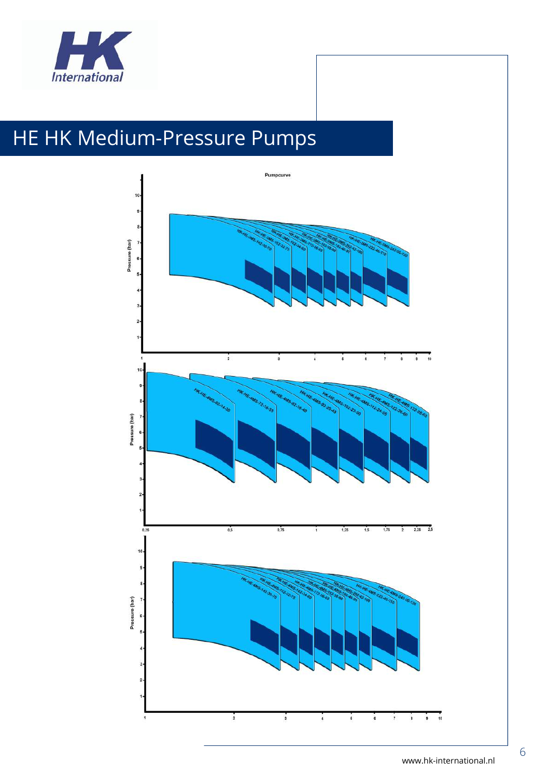

# HE HK Medium-Pressure Pumps

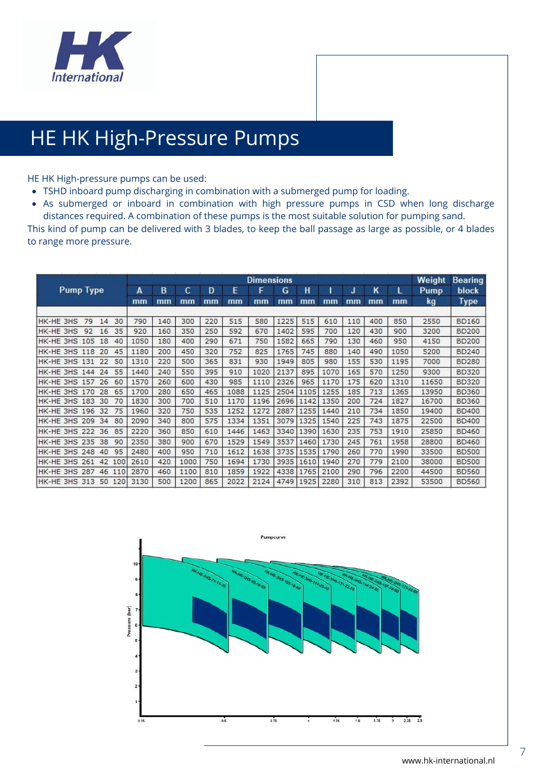

### HE HK High-Pressure Pumps

HE HK High-pressure pumps can be used:

- TSHD inboard pump discharging in combination with a submerged pump for loading.
- As submerged or inboard in combination with high pressure pumps in CSD when long discharge distances required. A combination of these pumps is the most suitable solution for pumping sand.

This kind of pump can be delivered with 3 blades, to keep the ball passage as large as possible, or 4 blades to range more pressure.

|                                   |      | <b>Dimensions</b> |      |     |      |      |      |      |      |     |     |      |       | <b>Bearing</b> |
|-----------------------------------|------|-------------------|------|-----|------|------|------|------|------|-----|-----|------|-------|----------------|
| <b>Pump Type</b>                  | A    | B                 | C    | Đ   | F    | F    | G    | н    |      | J   | κ   | L    | Pump  | block          |
|                                   | mm   | mm                | mm   | mm  | mm   | mm   | mm   | mm   | mm   | mm  | mm  | mm   | kq    | <b>Type</b>    |
| 30<br>HK-HE 3HS<br>79<br>14       | 790  | 140               | 300  | 220 | 515  | 580  | 1225 | 515  | 610  | 110 | 400 | 850  | 2550  | <b>BD160</b>   |
| 35<br>HK-HE 3HS<br>16<br>92       | 920  | 160               | 350  | 250 | 592  | 670  | 1402 | 595  | 700  | 120 | 430 | 900  | 3200  | <b>BD200</b>   |
| HK-HE 3HS<br>18<br>40<br>105      | 1050 | 180               | 400  | 290 | 671  | 750  | 1582 | 665  | 790  | 130 | 460 | 950  | 4150  | <b>BD200</b>   |
| HK-HE 3HS<br>45<br>118<br>20      | 1180 | 200               | 450  | 320 | 752  | 825  | 1765 | 745  | 880  | 140 | 490 | 1050 | 5200  | BD240          |
| HK-HE 3HS<br>22<br>50<br>131      | 1310 | 220               | 500  | 365 | 831  | 930  | 1949 | 805  | 980  | 155 | 530 | 1195 | 7000  | BD280          |
| HK-HE 3HS 144<br>55<br>24         | 1440 | 240               | 550  | 395 | 910  | 1020 | 2137 | 895  | 1070 | 165 | 570 | 1250 | 9300  | BD320          |
| <b>HK-HE 3HS 157</b><br>60<br>26  | 1570 | 260               | 600  | 430 | 985  | 1110 | 2326 | 965  | 1170 | 175 | 620 | 1310 | 11650 | <b>BD320</b>   |
| <b>HK-HE 3HS 170</b><br>65<br>28  | 1700 | 280               | 650  | 465 | 1088 | 1125 | 2504 | 1105 | 1255 | 185 | 713 | 1365 | 13950 | <b>BD360</b>   |
| HK-HE 3HS<br>70<br>183<br>30      | 1830 | 300               | 700  | 510 | 1170 | 1196 | 2696 | 1142 | 1350 | 200 | 724 | 1827 | 16700 | BD360          |
| HK-HE 3HS<br>75<br>32<br>196      | 1960 | 320               | 750  | 535 | 1252 | 1272 | 2887 | 1255 | 1440 | 210 | 734 | 1850 | 19400 | BD400          |
| HK-HE 3HS<br>209<br>80<br>34      | 2090 | 340               | 800  | 575 | 1334 | 1351 | 3079 | 1325 | 1540 | 225 | 743 | 1875 | 22500 | BD400          |
| HK-HE 3HS<br>36<br>85<br>222      | 2220 | 360               | 850  | 610 | 1446 | 1463 | 3340 | 1390 | 1630 | 235 | 753 | 1910 | 25850 | BD460          |
| HK-HE 3HS<br>235<br>38<br>90      | 2350 | 380               | 900  | 670 | 1529 | 1549 | 3537 | 1460 | 1730 | 245 | 761 | 1958 | 28800 | <b>BD460</b>   |
| <b>HK-HE 3HS 248</b><br>40<br>95  | 2480 | 400               | 950  | 710 | 1612 | 1638 | 3735 | 1535 | 1790 | 260 | 770 | 1990 | 33500 | <b>BD500</b>   |
| <b>HK-HE 3HS 261</b><br>42<br>100 | 2610 | 420               | 1000 | 750 | 1694 | 1730 | 3935 | 1610 | 1940 | 270 | 779 | 2100 | 38000 | <b>BD500</b>   |
| HK-HE 3HS<br>46<br>287<br>110     | 2870 | 460               | 1100 | 810 | 1859 | 1922 | 4338 | 1765 | 2100 | 290 | 796 | 2200 | 44500 | <b>BD560</b>   |
| HK-HE 3HS<br>313<br>50<br>120     | 3130 | 500               | 1200 | 865 | 2022 | 2124 | 4749 | 1925 | 2280 | 310 | 813 | 2392 | 53500 | <b>BD560</b>   |

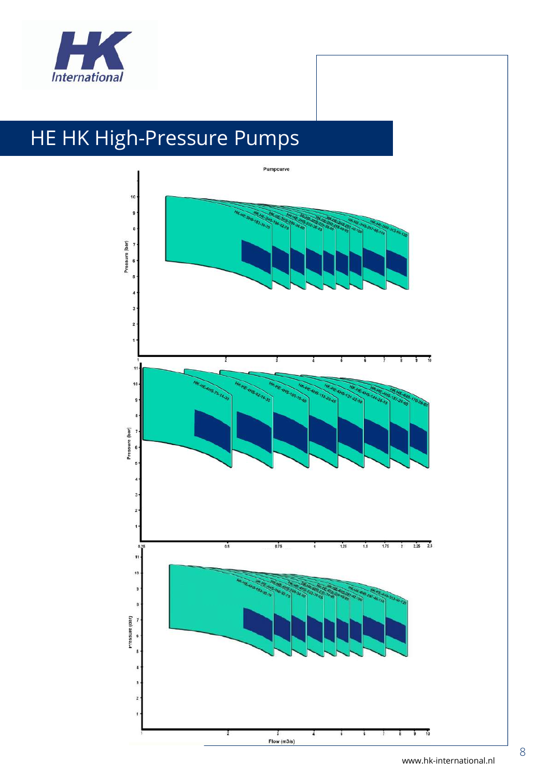

# HE HK High-Pressure Pumps

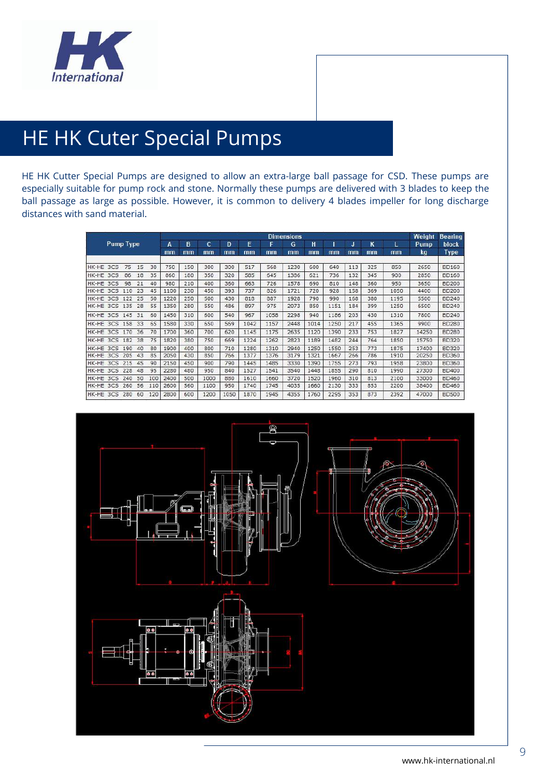

## HE HK Cuter Special Pumps

HE HK Cutter Special Pumps are designed to allow an extra-large ball passage for CSD. These pumps are especially suitable for pump rock and stone. Normally these pumps are delivered with 3 blades to keep the ball passage as large as possible. However, it is common to delivery 4 blades impeller for long discharge distances with sand material.

|           |                 |     |    |     |      |     |      | Weight | <b>Bearing</b> |      |      |      |      |     |     |             |       |              |
|-----------|-----------------|-----|----|-----|------|-----|------|--------|----------------|------|------|------|------|-----|-----|-------------|-------|--------------|
| Pump Type |                 |     |    | A   | B    | C   | D    | E      | F              | G    | н    |      | J    | κ   | L   | <b>Pump</b> | block |              |
|           |                 |     |    |     | mm   | mm  | mm   | mm     | mm             | mm   | mm   | mm   | mm   | mm  | mm  | mm          | kg    | <b>Type</b>  |
| HK-HE 3CS |                 | 75  | 15 | 30  | 750  | 150 | 300  | 300    | 517            | 568  | 1230 | 600  | 640  | 113 | 325 | 850         | 2650  | <b>BD160</b> |
| HK-HE 3CS |                 | 86  | 18 | 35  | 860  | 180 | 350  | 320    | 585            | 645  | 1386 | 621  | 736  | 132 | 345 | 900         | 2850  | BD160        |
| HK-HE     | 305             | 98  | 21 | 40  | 980  | 210 | 400  | 360    | 663            | 726  | 1578 | 690  | 810  | 148 | 360 | 950         | 3650  | BD200        |
| HK-HE     | 3CS             | 110 | 23 | 45  | 1100 | 230 | 450  | 393    | 737            | 826  | 1721 | 720  | 928  | 158 | 369 | 1050        | 4400  | BD200        |
| HK-HF     | 3CS             | 122 | 25 | 50  | 1220 | 250 | 500  | 430    | 818            | 887  | 1928 | 790  | 990  | 168 | 380 | 1195        | 5500  | BD240        |
| HK-HE 3CS |                 | 135 | 28 | 55  | 1350 | 280 | 550  | 486    | 897            | 975  | 2073 | 850  | 1151 | 184 | 399 | 1250        | 6500  | BD240        |
| HK-HE     | 3 <sub>CS</sub> | 145 | 31 | 60  | 1450 | 310 | 600  | 540    | 967            | 1058 | 2298 | 940  | 1186 | 203 | 430 | 1310        | 7800  | BD240        |
| HK-HE     | 3CS             | 158 | 33 | 65  | 1580 | 330 | 650  | 569    | 1042           | 1157 | 2448 | 1014 | 1250 | 217 | 455 | 1365        | 9900  | BD280        |
| HK-HE     | 3 <sub>CS</sub> | 170 | 36 | 70  | 1700 | 360 | 700  | 620    | 1145           | 1175 | 2635 | 1120 | 1390 | 233 | 753 | 1827        | 14250 | BD280        |
| HK-HE 3CS |                 | 182 | 38 | 75  | 1820 | 380 | 750  | 669    | 1224           | 1262 | 2823 | 1189 | 1482 | 244 | 764 | 1850        | 15750 | BD320        |
| HK-HE     | 3 <sub>CS</sub> | 190 | 40 | 80  | 1900 | 400 | 800  | 710    | 1280           | 1310 | 2940 | 1250 | 1550 | 253 | 773 | 1875        | 17400 | BD320        |
| HK-HF     | 3CS             | 205 | 43 | 85  | 2050 | 430 | 850  | 766    | 1377           | 1376 | 3179 | 1321 | 1667 | 266 | 786 | 1910        | 20250 | <b>BD360</b> |
| HK-HE     | 3 <sub>CS</sub> | 215 | 45 | 90  | 2150 | 450 | 900  | 790    | 1445           | 1485 | 3330 | 1390 | 1755 | 273 | 793 | 1958        | 23800 | BD360        |
| HK-HE     | 3 <sub>CS</sub> | 228 | 48 | 95  | 2280 | 480 | 950  | 840    | 1527           | 1541 | 3540 | 1448 | 1855 | 290 | 810 | 1990        | 27300 | BD400        |
| HK-HE     | 3CS             | 240 | 50 | 100 | 2400 | 500 | 1000 | 880    | 1610           | 1660 | 3720 | 1520 | 1960 | 310 | 813 | 2100        | 33000 | BD460        |
| HK-HE     | 3 <sub>CS</sub> | 260 | 56 | 110 | 2600 | 560 | 1100 | 950    | 1740           | 1745 | 4035 | 1660 | 2130 | 333 | 853 | 2200        | 38400 | <b>BD460</b> |
| HK-HE 3CS |                 | 280 | 60 | 120 | 2800 | 600 | 1200 | 1050   | 1870           | 1945 | 4355 | 1760 | 2295 | 353 | 873 | 2392        | 47000 | <b>BD500</b> |

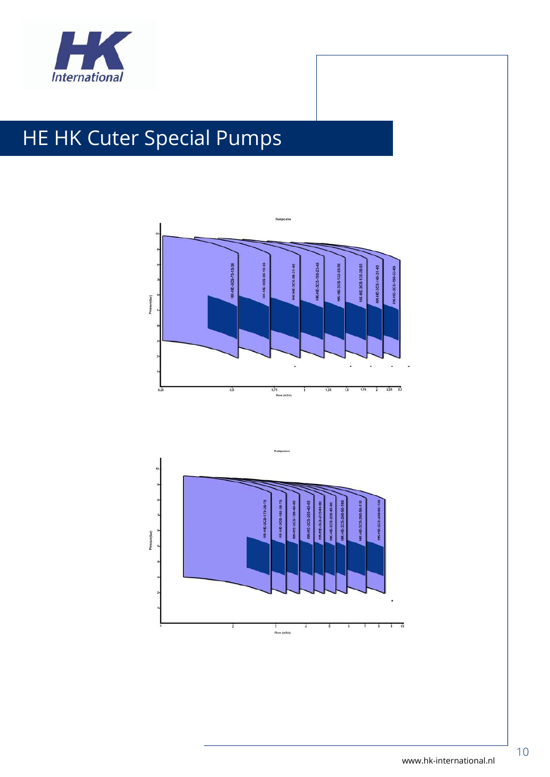

# **HE HK Cuter Special Pumps**



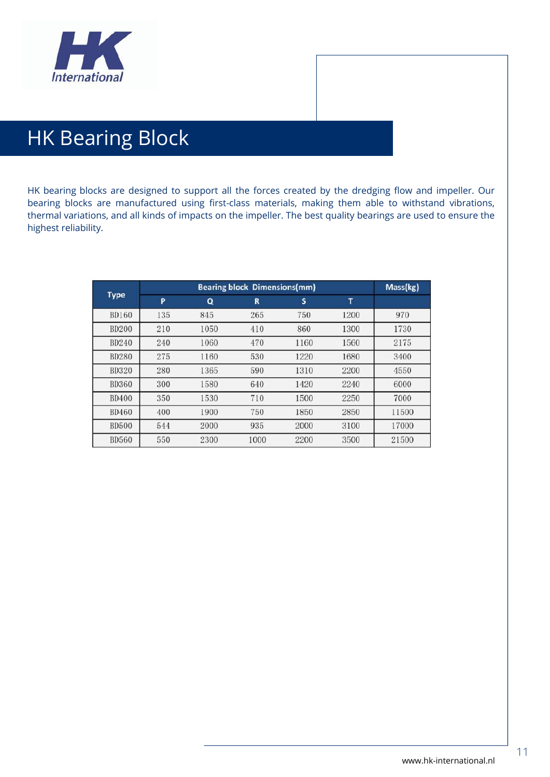

### HK Bearing Block

HK bearing blocks are designed to support all the forces created by the dredging flow and impeller. Our bearing blocks are manufactured using first-class materials, making them able to withstand vibrations, thermal variations, and all kinds of impacts on the impeller. The best quality bearings are used to ensure the highest reliability.

|              |     | Mass(kg) |      |      |      |       |
|--------------|-----|----------|------|------|------|-------|
| <b>Type</b>  | P   | Q        | R    | s    | T    |       |
| <b>BD160</b> | 135 | 845      | 265  | 750  | 1200 | 970   |
| <b>BD200</b> | 210 | 1050     | 410  | 860  | 1300 | 1730  |
| BD240        | 240 | 1060     | 470  | 1160 | 1560 | 2175  |
| <b>BD280</b> | 275 | 1160     | 530  | 1220 | 1680 | 3400  |
| <b>BD320</b> | 280 | 1365     | 590  | 1310 | 2200 | 4550  |
| <b>BD360</b> | 300 | 1580     | 640  | 1420 | 2240 | 6000  |
| <b>BD400</b> | 350 | 1530     | 710  | 1500 | 2250 | 7000  |
| <b>BD460</b> | 400 | 1900     | 750  | 1850 | 2850 | 11500 |
| <b>BD500</b> | 544 | 2000     | 935  | 2000 | 3100 | 17000 |
| <b>BD560</b> | 550 | 2300     | 1000 | 2200 | 3500 | 21500 |